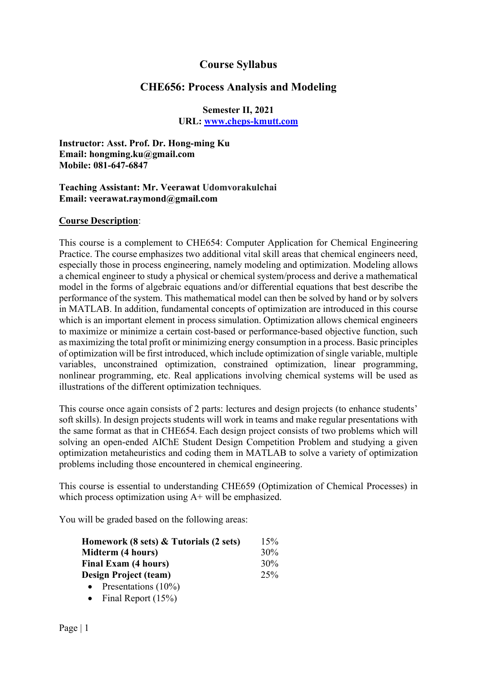# Course Syllabus

# CHE656: Process Analysis and Modeling

### Semester II, 2021 URL: www.cheps-kmutt.com

Instructor: Asst. Prof. Dr. Hong-ming Ku Email: hongming.ku@gmail.com Mobile: 081-647-6847

#### Teaching Assistant: Mr. Veerawat Udomvorakulchai Email: veerawat.raymond@gmail.com

#### Course Description:

This course is a complement to CHE654: Computer Application for Chemical Engineering Practice. The course emphasizes two additional vital skill areas that chemical engineers need, especially those in process engineering, namely modeling and optimization. Modeling allows a chemical engineer to study a physical or chemical system/process and derive a mathematical model in the forms of algebraic equations and/or differential equations that best describe the performance of the system. This mathematical model can then be solved by hand or by solvers in MATLAB. In addition, fundamental concepts of optimization are introduced in this course which is an important element in process simulation. Optimization allows chemical engineers to maximize or minimize a certain cost-based or performance-based objective function, such as maximizing the total profit or minimizing energy consumption in a process. Basic principles of optimization will be first introduced, which include optimization of single variable, multiple variables, unconstrained optimization, constrained optimization, linear programming, nonlinear programming, etc. Real applications involving chemical systems will be used as illustrations of the different optimization techniques.

This course once again consists of 2 parts: lectures and design projects (to enhance students' soft skills). In design projects students will work in teams and make regular presentations with the same format as that in CHE654. Each design project consists of two problems which will solving an open-ended AIChE Student Design Competition Problem and studying a given optimization metaheuristics and coding them in MATLAB to solve a variety of optimization problems including those encountered in chemical engineering.

This course is essential to understanding CHE659 (Optimization of Chemical Processes) in which process optimization using  $A+$  will be emphasized.

You will be graded based on the following areas:

| Homework (8 sets) & Tutorials (2 sets) | 15% |
|----------------------------------------|-----|
| Midterm (4 hours)                      | 30% |
| Final Exam (4 hours)                   | 30% |
| Design Project (team)                  | 25% |
| Presentations $(10\%)$<br>$\bullet$    |     |
|                                        |     |

• Final Report  $(15%)$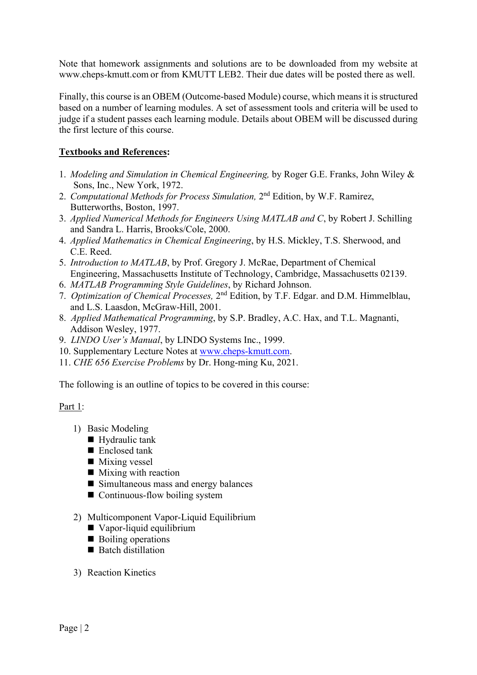Note that homework assignments and solutions are to be downloaded from my website at www.cheps-kmutt.com or from KMUTT LEB2. Their due dates will be posted there as well.

Finally, this course is an OBEM (Outcome-based Module) course, which means it is structured based on a number of learning modules. A set of assessment tools and criteria will be used to judge if a student passes each learning module. Details about OBEM will be discussed during the first lecture of this course.

## Textbooks and References:

- 1. Modeling and Simulation in Chemical Engineering, by Roger G.E. Franks, John Wiley & Sons, Inc., New York, 1972.
- 2. Computational Methods for Process Simulation, 2<sup>nd</sup> Edition, by W.F. Ramirez, Butterworths, Boston, 1997.
- 3. Applied Numerical Methods for Engineers Using MATLAB and C, by Robert J. Schilling and Sandra L. Harris, Brooks/Cole, 2000.
- 4. Applied Mathematics in Chemical Engineering, by H.S. Mickley, T.S. Sherwood, and C.E. Reed.
- 5. Introduction to MATLAB, by Prof. Gregory J. McRae, Department of Chemical Engineering, Massachusetts Institute of Technology, Cambridge, Massachusetts 02139.
- 6. MATLAB Programming Style Guidelines, by Richard Johnson.
- 7. Optimization of Chemical Processes, 2<sup>nd</sup> Edition, by T.F. Edgar. and D.M. Himmelblau, and L.S. Laasdon, McGraw-Hill, 2001.
- 8. Applied Mathematical Programming, by S.P. Bradley, A.C. Hax, and T.L. Magnanti, Addison Wesley, 1977.
- 9. LINDO User's Manual, by LINDO Systems Inc., 1999.
- 10. Supplementary Lecture Notes at www.cheps-kmutt.com.
- 11. CHE 656 Exercise Problems by Dr. Hong-ming Ku, 2021.

The following is an outline of topics to be covered in this course:

## Part 1:

- 1) Basic Modeling
	- Hydraulic tank
	- $\blacksquare$  Enclosed tank
	- $\blacksquare$  Mixing vessel
	- $\blacksquare$  Mixing with reaction
	- Simultaneous mass and energy balances
	- Continuous-flow boiling system
- 2) Multicomponent Vapor-Liquid Equilibrium
	- Vapor-liquid equilibrium
	- Boiling operations
	- $\blacksquare$  Batch distillation
- 3) Reaction Kinetics